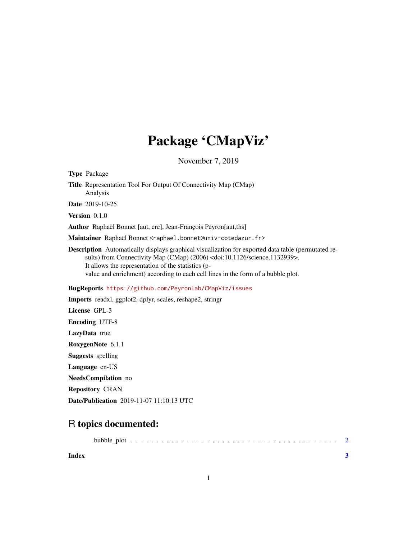## Package 'CMapViz'

November 7, 2019

| <b>Type Package</b>                                                                                                                                                                                                                                                                                                                          |
|----------------------------------------------------------------------------------------------------------------------------------------------------------------------------------------------------------------------------------------------------------------------------------------------------------------------------------------------|
| <b>Title</b> Representation Tool For Output Of Connectivity Map (CMap)<br>Analysis                                                                                                                                                                                                                                                           |
| Date 2019-10-25                                                                                                                                                                                                                                                                                                                              |
| Version $0.1.0$                                                                                                                                                                                                                                                                                                                              |
| Author Raphaël Bonnet [aut, cre], Jean-François Peyron[aut,ths]                                                                                                                                                                                                                                                                              |
| Maintainer Raphaël Bonnet <raphael.bonnet@univ-cotedazur.fr></raphael.bonnet@univ-cotedazur.fr>                                                                                                                                                                                                                                              |
| Description Automatically displays graphical visualization for exported data table (permutated re-<br>sults) from Connectivity Map (CMap) (2006) <doi:10.1126 science.1132939="">.<br/>It allows the representation of the statistics (p-<br/>value and enrichment) according to each cell lines in the form of a bubble plot.</doi:10.1126> |
| BugReports https://github.com/Peyronlab/CMapViz/issues                                                                                                                                                                                                                                                                                       |
| <b>Imports</b> readxl, ggplot2, dplyr, scales, reshape2, stringr                                                                                                                                                                                                                                                                             |
| License GPL-3                                                                                                                                                                                                                                                                                                                                |
| <b>Encoding UTF-8</b>                                                                                                                                                                                                                                                                                                                        |
| LazyData true                                                                                                                                                                                                                                                                                                                                |
| RoxygenNote 6.1.1                                                                                                                                                                                                                                                                                                                            |
| <b>Suggests</b> spelling                                                                                                                                                                                                                                                                                                                     |
| Language en-US                                                                                                                                                                                                                                                                                                                               |
| NeedsCompilation no                                                                                                                                                                                                                                                                                                                          |
| <b>Repository CRAN</b>                                                                                                                                                                                                                                                                                                                       |
| <b>Date/Publication</b> 2019-11-07 11:10:13 UTC                                                                                                                                                                                                                                                                                              |
|                                                                                                                                                                                                                                                                                                                                              |

### R topics documented:

| Index |  |  |
|-------|--|--|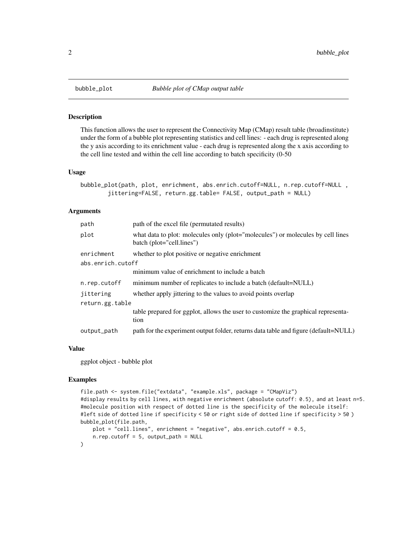#### Description

This function allows the user to represent the Connectivity Map (CMap) result table (broadinstitute) under the form of a bubble plot representing statistics and cell lines: - each drug is represented along the y axis according to its enrichment value - each drug is represented along the x axis according to the cell line tested and within the cell line according to batch specificity (0-50

#### Usage

```
bubble_plot(path, plot, enrichment, abs.enrich.cutoff=NULL, n.rep.cutoff=NULL ,
        jittering=FALSE, return.gg.table= FALSE, output_path = NULL)
```
#### Arguments

| what data to plot: molecules only (plot="molecules") or molecules by cell lines     |
|-------------------------------------------------------------------------------------|
|                                                                                     |
|                                                                                     |
|                                                                                     |
|                                                                                     |
|                                                                                     |
|                                                                                     |
| table prepared for ggplot, allows the user to customize the graphical representa-   |
| path for the experiment output folder, returns data table and figure (default=NULL) |
|                                                                                     |

#### Value

ggplot object - bubble plot

#### Examples

```
file.path <- system.file("extdata", "example.xls", package = "CMapViz")
#display results by cell lines, with negative enrichment (absolute cutoff: 0.5), and at least n=5.
#molecule position with respect of dotted line is the specificity of the molecule itself:
#left side of dotted line if specificity < 50 or right side of dotted line if specificity > 50 )
bubble_plot(file.path,
   plot = "cell.lines", enrichment = "negative", abs.enrich.cutoff = 0.5,
   n.rep.cutoff = 5, output_path = NULL
)
```